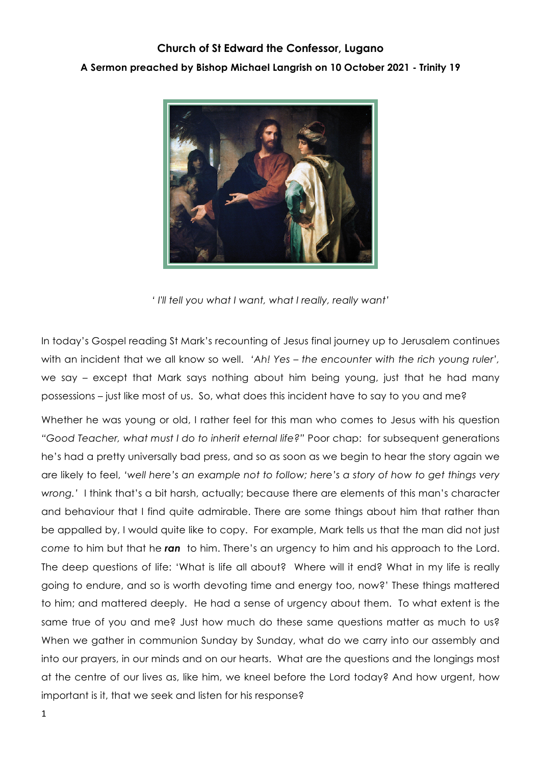## **Church of St Edward the Confessor, Lugano A Sermon preached by Bishop Michael Langrish on 10 October 2021 - Trinity 19**



*' I'll tell you what I want, what I really, really want'*

In today's Gospel reading St Mark's recounting of Jesus final journey up to Jerusalem continues with an incident that we all know so well. *'Ah! Yes – the encounter with the rich young ruler',* we say – except that Mark says nothing about him being young, just that he had many possessions – just like most of us. So, what does this incident have to say to you and me?

Whether he was young or old, I rather feel for this man who comes to Jesus with his question *"Good Teacher, what must I do to inherit eternal life?"* Poor chap: for subsequent generations he's had a pretty universally bad press, and so as soon as we begin to hear the story again we are likely to feel, *'well here's an example not to follow; here's a story of how to get things very wrong.'* I think that's a bit harsh, actually; because there are elements of this man's character and behaviour that I find quite admirable. There are some things about him that rather than be appalled by, I would quite like to copy. For example, Mark tells us that the man did not just *come* to him but that he *ran* to him. There's an urgency to him and his approach to the Lord. The deep questions of life: 'What is life all about? Where will it end? What in my life is really going to endure, and so is worth devoting time and energy too, now?' These things mattered to him; and mattered deeply. He had a sense of urgency about them. To what extent is the same true of you and me? Just how much do these same questions matter as much to us? When we gather in communion Sunday by Sunday, what do we carry into our assembly and into our prayers, in our minds and on our hearts. What are the questions and the longings most at the centre of our lives as, like him, we kneel before the Lord today? And how urgent, how important is it, that we seek and listen for his response?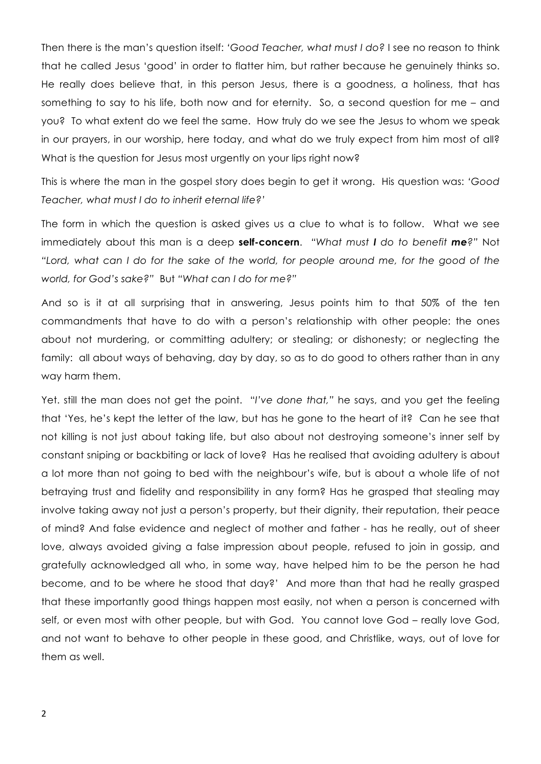Then there is the man's question itself: *'Good Teacher, what must I do?* I see no reason to think that he called Jesus 'good' in order to flatter him, but rather because he genuinely thinks so. He really does believe that, in this person Jesus, there is a goodness, a holiness, that has something to say to his life, both now and for eternity. So, a second question for me – and you? To what extent do we feel the same. How truly do we see the Jesus to whom we speak in our prayers, in our worship, here today, and what do we truly expect from him most of all? What is the question for Jesus most urgently on your lips right now?

This is where the man in the gospel story does begin to get it wrong. His question was: *'Good Teacher, what must I do to inherit eternal life?'*

The form in which the question is asked gives us a clue to what is to follow. What we see immediately about this man is a deep **self-concern**. *"What must I do to benefit me?"* Not *"Lord, what can I do for the sake of the world, for people around me, for the good of the world, for God's sake?"* But *"What can I do for me?"*

And so is it at all surprising that in answering, Jesus points him to that 50% of the ten commandments that have to do with a person's relationship with other people: the ones about not murdering, or committing adultery; or stealing; or dishonesty; or neglecting the family: all about ways of behaving, day by day, so as to do good to others rather than in any way harm them.

Yet. still the man does not get the point. "*I've done that,"* he says, and you get the feeling that 'Yes, he's kept the letter of the law, but has he gone to the heart of it? Can he see that not killing is not just about taking life, but also about not destroying someone's inner self by constant sniping or backbiting or lack of love? Has he realised that avoiding adultery is about a lot more than not going to bed with the neighbour's wife, but is about a whole life of not betraying trust and fidelity and responsibility in any form? Has he grasped that stealing may involve taking away not just a person's property, but their dignity, their reputation, their peace of mind? And false evidence and neglect of mother and father - has he really, out of sheer love, always avoided giving a false impression about people, refused to join in gossip, and gratefully acknowledged all who, in some way, have helped him to be the person he had become, and to be where he stood that day?' And more than that had he really grasped that these importantly good things happen most easily, not when a person is concerned with self, or even most with other people, but with God. You cannot love God – really love God, and not want to behave to other people in these good, and Christlike, ways, out of love for them as well.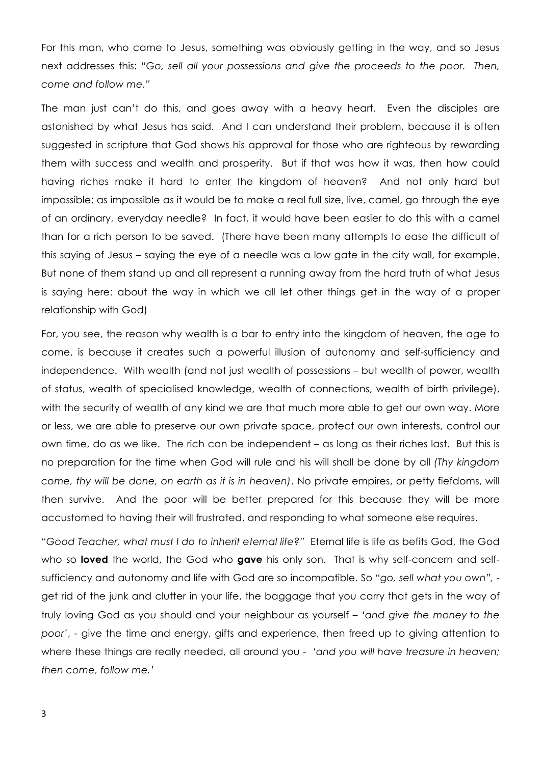For this man, who came to Jesus, something was obviously getting in the way, and so Jesus next addresses this: *"Go, sell all your possessions and give the proceeds to the poor. Then, come and follow me."*

The man just can't do this, and goes away with a heavy heart. Even the disciples are astonished by what Jesus has said. And I can understand their problem, because it is often suggested in scripture that God shows his approval for those who are righteous by rewarding them with success and wealth and prosperity. But if that was how it was, then how could having riches make it hard to enter the kingdom of heaven? And not only hard but impossible; as impossible as it would be to make a real full size, live, camel, go through the eye of an ordinary, everyday needle? In fact, it would have been easier to do this with a camel than for a rich person to be saved. (There have been many attempts to ease the difficult of this saying of Jesus – saying the eye of a needle was a low gate in the city wall, for example. But none of them stand up and all represent a running away from the hard truth of what Jesus is saying here: about the way in which we all let other things get in the way of a proper relationship with God)

For, you see, the reason why wealth is a bar to entry into the kingdom of heaven, the age to come, is because it creates such a powerful illusion of autonomy and self-sufficiency and independence. With wealth (and not just wealth of possessions – but wealth of power, wealth of status, wealth of specialised knowledge, wealth of connections, wealth of birth privilege), with the security of wealth of any kind we are that much more able to get our own way. More or less, we are able to preserve our own private space, protect our own interests, control our own time, do as we like. The rich can be independent – as long as their riches last. But this is no preparation for the time when God will rule and his will shall be done by all *(Thy kingdom come, thy will be done, on earth as it is in heaven)*. No private empires, or petty fiefdoms, will then survive. And the poor will be better prepared for this because they will be more accustomed to having their will frustrated, and responding to what someone else requires.

*"Good Teacher, what must I do to inherit eternal life?"* Eternal life is life as befits God, the God who so **loved** the world, the God who **gave** his only son. That is why self-concern and selfsufficiency and autonomy and life with God are so incompatible. So *"go, sell what you own",* get rid of the junk and clutter in your life, the baggage that you carry that gets in the way of truly loving God as you should and your neighbour as yourself *– 'and give the money to the poor'*, - give the time and energy, gifts and experience, then freed up to giving attention to where these things are really needed, all around you - *'and you will have treasure in heaven; then come, follow me.'*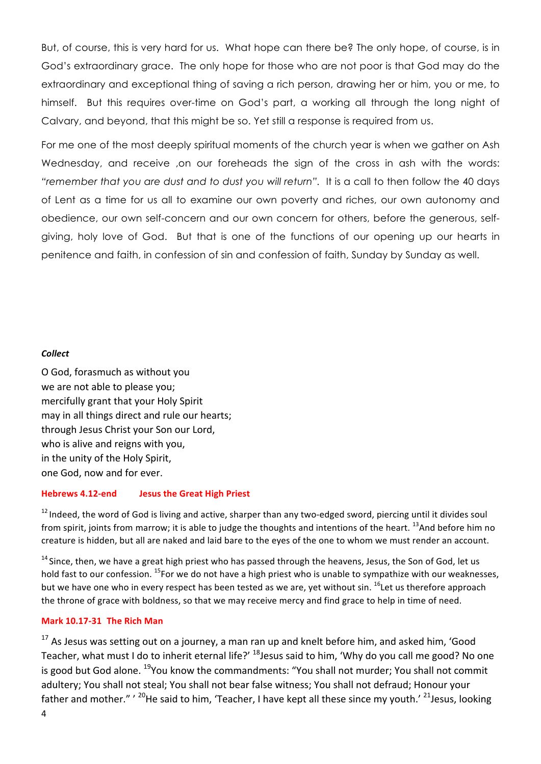But, of course, this is very hard for us. What hope can there be? The only hope, of course, is in God's extraordinary grace. The only hope for those who are not poor is that God may do the extraordinary and exceptional thing of saving a rich person, drawing her or him, you or me, to himself. But this requires over-time on God's part, a working all through the long night of Calvary, and beyond, that this might be so. Yet still a response is required from us.

For me one of the most deeply spiritual moments of the church year is when we gather on Ash Wednesday, and receive ,on our foreheads the sign of the cross in ash with the words: *"remember that you are dust and to dust you will return".* It is a call to then follow the 40 days of Lent as a time for us all to examine our own poverty and riches, our own autonomy and obedience, our own self-concern and our own concern for others, before the generous, selfgiving, holy love of God. But that is one of the functions of our opening up our hearts in penitence and faith, in confession of sin and confession of faith, Sunday by Sunday as well.

## *Collect*

O God, forasmuch as without you we are not able to please you; mercifully grant that your Holy Spirit may in all things direct and rule our hearts; through Jesus Christ your Son our Lord, who is alive and reigns with you, in the unity of the Holy Spirit, one God, now and for ever.

## **Hebrews 4.12-end Jesus the Great High Priest**

 $12$  Indeed, the word of God is living and active, sharper than any two-edged sword, piercing until it divides soul from spirit, joints from marrow; it is able to judge the thoughts and intentions of the heart.  $^{13}$ And before him no creature is hidden, but all are naked and laid bare to the eyes of the one to whom we must render an account.

 $14$  Since, then, we have a great high priest who has passed through the heavens, Jesus, the Son of God, let us hold fast to our confession.  $^{15}$ For we do not have a high priest who is unable to sympathize with our weaknesses, but we have one who in every respect has been tested as we are, yet without sin. <sup>16</sup>Let us therefore approach the throne of grace with boldness, so that we may receive mercy and find grace to help in time of need.

## **Mark 10.17-31 The Rich Man**

 $17$  As Jesus was setting out on a journey, a man ran up and knelt before him, and asked him, 'Good Teacher, what must I do to inherit eternal life?'  $^{18}$ Jesus said to him, 'Why do you call me good? No one is good but God alone.  $^{19}$ You know the commandments: "You shall not murder; You shall not commit adultery; You shall not steal; You shall not bear false witness; You shall not defraud; Honour your father and mother." '  $^{20}$ He said to him, 'Teacher, I have kept all these since my youth.' <sup>21</sup>Jesus, looking